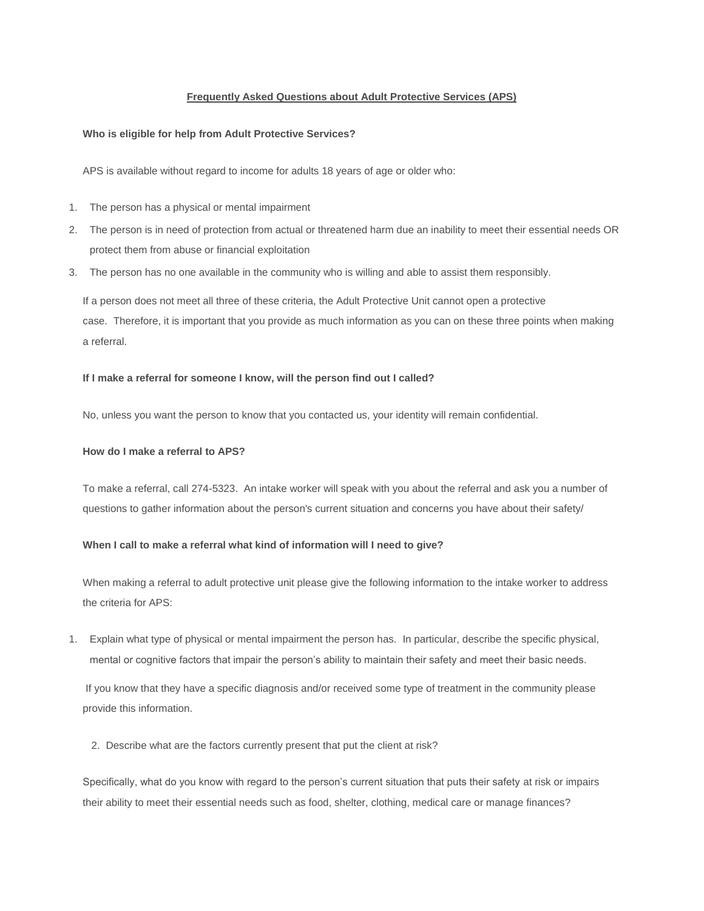## **Frequently Asked Questions about Adult Protective Services (APS)**

### **Who is eligible for help from Adult Protective Services?**

APS is available without regard to income for adults 18 years of age or older who:

- 1. The person has a physical or mental impairment
- 2. The person is in need of protection from actual or threatened harm due an inability to meet their essential needs OR protect them from abuse or financial exploitation
- 3. The person has no one available in the community who is willing and able to assist them responsibly.

If a person does not meet all three of these criteria, the Adult Protective Unit cannot open a protective case. Therefore, it is important that you provide as much information as you can on these three points when making a referral.

#### **If I make a referral for someone I know, will the person find out I called?**

No, unless you want the person to know that you contacted us, your identity will remain confidential.

## **How do I make a referral to APS?**

To make a referral, call 274-5323. An intake worker will speak with you about the referral and ask you a number of questions to gather information about the person's current situation and concerns you have about their safety/

# **When I call to make a referral what kind of information will I need to give?**

When making a referral to adult protective unit please give the following information to the intake worker to address the criteria for APS:

1. Explain what type of physical or mental impairment the person has. In particular, describe the specific physical, mental or cognitive factors that impair the person's ability to maintain their safety and meet their basic needs.

If you know that they have a specific diagnosis and/or received some type of treatment in the community please provide this information.

2. Describe what are the factors currently present that put the client at risk?

Specifically, what do you know with regard to the person's current situation that puts their safety at risk or impairs their ability to meet their essential needs such as food, shelter, clothing, medical care or manage finances?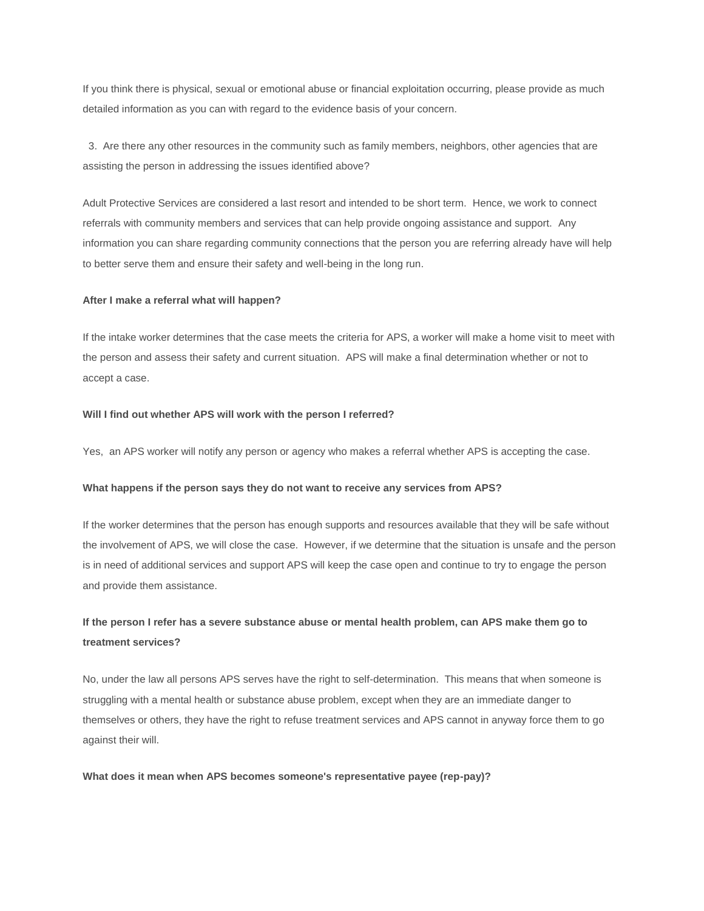If you think there is physical, sexual or emotional abuse or financial exploitation occurring, please provide as much detailed information as you can with regard to the evidence basis of your concern.

3. Are there any other resources in the community such as family members, neighbors, other agencies that are assisting the person in addressing the issues identified above?

Adult Protective Services are considered a last resort and intended to be short term. Hence, we work to connect referrals with community members and services that can help provide ongoing assistance and support. Any information you can share regarding community connections that the person you are referring already have will help to better serve them and ensure their safety and well-being in the long run.

#### **After I make a referral what will happen?**

If the intake worker determines that the case meets the criteria for APS, a worker will make a home visit to meet with the person and assess their safety and current situation. APS will make a final determination whether or not to accept a case.

#### **Will I find out whether APS will work with the person I referred?**

Yes, an APS worker will notify any person or agency who makes a referral whether APS is accepting the case.

#### **What happens if the person says they do not want to receive any services from APS?**

If the worker determines that the person has enough supports and resources available that they will be safe without the involvement of APS, we will close the case. However, if we determine that the situation is unsafe and the person is in need of additional services and support APS will keep the case open and continue to try to engage the person and provide them assistance.

# **If the person I refer has a severe substance abuse or mental health problem, can APS make them go to treatment services?**

No, under the law all persons APS serves have the right to self-determination. This means that when someone is struggling with a mental health or substance abuse problem, except when they are an immediate danger to themselves or others, they have the right to refuse treatment services and APS cannot in anyway force them to go against their will.

#### **What does it mean when APS becomes someone's representative payee (rep-pay)?**